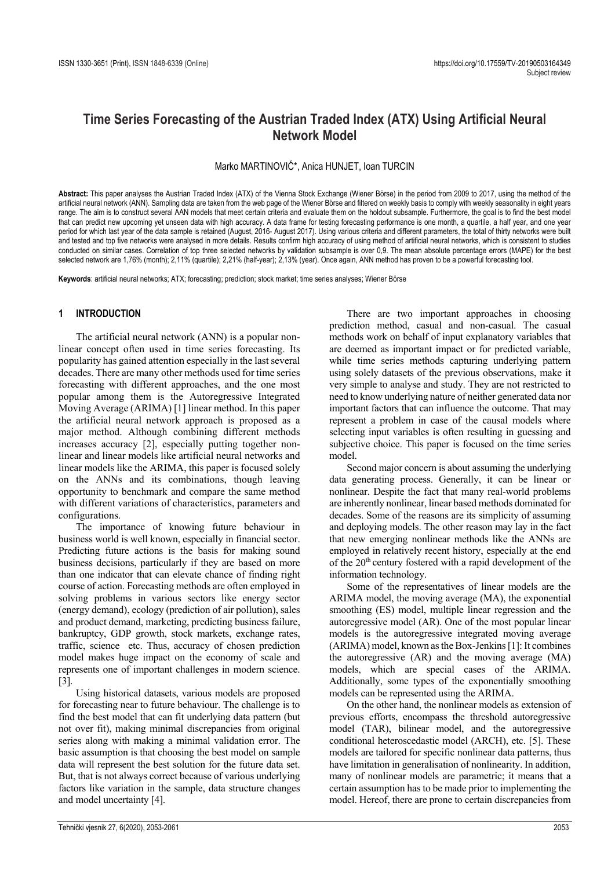# **Time Series Forecasting of the Austrian Traded Index (ATX) Using Artificial Neural Network Model**

### Marko MARTINOVIĆ\*, Anica HUNJET, Ioan TURCIN

**Abstract:** This paper analyses the Austrian Traded Index (ATX) of the Vienna Stock Exchange (Wiener Börse) in the period from 2009 to 2017, using the method of the artificial neural network (ANN). Sampling data are taken from the web page of the Wiener Börse and filtered on weekly basis to comply with weekly seasonality in eight years range. The aim is to construct several AAN models that meet certain criteria and evaluate them on the holdout subsample. Furthermore, the goal is to find the best model that can predict new upcoming yet unseen data with high accuracy. A data frame for testing forecasting performance is one month, a quartile, a half year, and one year period for which last year of the data sample is retained (August, 2016- August 2017). Using various criteria and different parameters, the total of thirty networks were built and tested and top five networks were analysed in more details. Results confirm high accuracy of using method of artificial neural networks, which is consistent to studies conducted on similar cases. Correlation of top three selected networks by validation subsample is over 0,9. The mean absolute percentage errors (MAPE) for the best selected network are 1,76% (month); 2,11% (quartile); 2,21% (half-year); 2,13% (year). Once again, ANN method has proven to be a powerful forecasting tool.

**Keywords**: artificial neural networks; ATX; forecasting; prediction; stock market; time series analyses; Wiener Börse

#### **1 INTRODUCTION**

The artificial neural network (ANN) is a popular nonlinear concept often used in time series forecasting. Its popularity has gained attention especially in the last several decades. There are many other methods used for time series forecasting with different approaches, and the one most popular among them is the Autoregressive Integrated Moving Average (ARIMA) [1] linear method. In this paper the artificial neural network approach is proposed as a major method. Although combining different methods increases accuracy [2], especially putting together nonlinear and linear models like artificial neural networks and linear models like the ARIMA, this paper is focused solely on the ANNs and its combinations, though leaving opportunity to benchmark and compare the same method with different variations of characteristics, parameters and configurations.

The importance of knowing future behaviour in business world is well known, especially in financial sector. Predicting future actions is the basis for making sound business decisions, particularly if they are based on more than one indicator that can elevate chance of finding right course of action. Forecasting methods are often employed in solving problems in various sectors like energy sector (energy demand), ecology (prediction of air pollution), sales and product demand, marketing, predicting business failure, bankruptcy, GDP growth, stock markets, exchange rates, traffic, science etc. Thus, accuracy of chosen prediction model makes huge impact on the economy of scale and represents one of important challenges in modern science. [3].

Using historical datasets, various models are proposed for forecasting near to future behaviour. The challenge is to find the best model that can fit underlying data pattern (but not over fit), making minimal discrepancies from original series along with making a minimal validation error. The basic assumption is that choosing the best model on sample data will represent the best solution for the future data set. But, that is not always correct because of various underlying factors like variation in the sample, data structure changes and model uncertainty [4].

There are two important approaches in choosing prediction method, casual and non-casual. The casual methods work on behalf of input explanatory variables that are deemed as important impact or for predicted variable, while time series methods capturing underlying pattern using solely datasets of the previous observations, make it very simple to analyse and study. They are not restricted to need to know underlying nature of neither generated data nor important factors that can influence the outcome. That may represent a problem in case of the causal models where selecting input variables is often resulting in guessing and subjective choice. This paper is focused on the time series model.

Second major concern is about assuming the underlying data generating process. Generally, it can be linear or nonlinear. Despite the fact that many real-world problems are inherently nonlinear, linear based methods dominated for decades. Some of the reasons are its simplicity of assuming and deploying models. The other reason may lay in the fact that new emerging nonlinear methods like the ANNs are employed in relatively recent history, especially at the end of the 20th century fostered with a rapid development of the information technology.

Some of the representatives of linear models are the ARIMA model, the moving average (MA), the exponential smoothing (ES) model, multiple linear regression and the autoregressive model (AR). One of the most popular linear models is the autoregressive integrated moving average (ARIMA) model, known as the Box-Jenkins [1]: It combines the autoregressive (AR) and the moving average (MA) models, which are special cases of the ARIMA. Additionally, some types of the exponentially smoothing models can be represented using the ARIMA.

On the other hand, the nonlinear models as extension of previous efforts, encompass the threshold autoregressive model (TAR), bilinear model, and the autoregressive conditional heteroscedastic model (ARCH), etc. [5]. These models are tailored for specific nonlinear data patterns, thus have limitation in generalisation of nonlinearity. In addition, many of nonlinear models are parametric; it means that a certain assumption has to be made prior to implementing the model. Hereof, there are prone to certain discrepancies from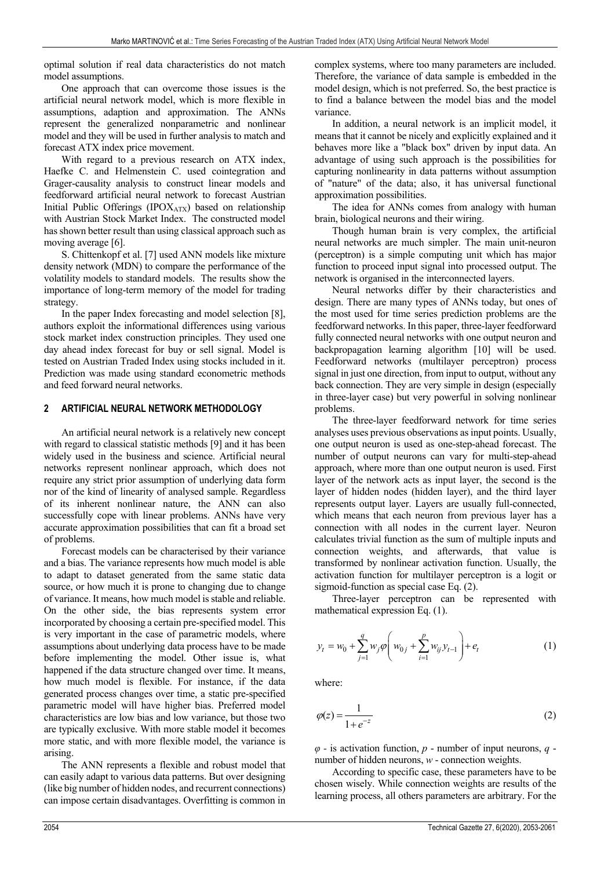optimal solution if real data characteristics do not match model assumptions.

One approach that can overcome those issues is the artificial neural network model, which is more flexible in assumptions, adaption and approximation. The ANNs represent the generalized nonparametric and nonlinear model and they will be used in further analysis to match and forecast ATX index price movement.

With regard to a previous research on ATX index, Haefke C. and Helmenstein C. used cointegration and Grager-causality analysis to construct linear models and feedforward artificial neural network to forecast Austrian Initial Public Offerings (IPO $X<sub>ATX</sub>$ ) based on relationship with Austrian Stock Market Index. The constructed model has shown better result than using classical approach such as moving average [6].

S. Chittenkopf et al. [7] used ANN models like mixture density network (MDN) to compare the performance of the volatility models to standard models. The results show the importance of long-term memory of the model for trading strategy.

In the paper Index forecasting and model selection [8], authors exploit the informational differences using various stock market index construction principles. They used one day ahead index forecast for buy or sell signal. Model is tested on Austrian Traded Index using stocks included in it. Prediction was made using standard econometric methods and feed forward neural networks.

#### **2 ARTIFICIAL NEURAL NETWORK METHODOLOGY**

An artificial neural network is a relatively new concept with regard to classical statistic methods [9] and it has been widely used in the business and science. Artificial neural networks represent nonlinear approach, which does not require any strict prior assumption of underlying data form nor of the kind of linearity of analysed sample. Regardless of its inherent nonlinear nature, the ANN can also successfully cope with linear problems. ANNs have very accurate approximation possibilities that can fit a broad set of problems.

Forecast models can be characterised by their variance and a bias. The variance represents how much model is able to adapt to dataset generated from the same static data source, or how much it is prone to changing due to change of variance. It means, how much model is stable and reliable. On the other side, the bias represents system error incorporated by choosing a certain pre-specified model. This is very important in the case of parametric models, where assumptions about underlying data process have to be made before implementing the model. Other issue is, what happened if the data structure changed over time. It means, how much model is flexible. For instance, if the data generated process changes over time, a static pre-specified parametric model will have higher bias. Preferred model characteristics are low bias and low variance, but those two are typically exclusive. With more stable model it becomes more static, and with more flexible model, the variance is arising.

The ANN represents a flexible and robust model that can easily adapt to various data patterns. But over designing (like big number of hidden nodes, and recurrent connections) can impose certain disadvantages. Overfitting is common in complex systems, where too many parameters are included. Therefore, the variance of data sample is embedded in the model design, which is not preferred. So, the best practice is to find a balance between the model bias and the model variance.

In addition, a neural network is an implicit model, it means that it cannot be nicely and explicitly explained and it behaves more like a "black box" driven by input data. An advantage of using such approach is the possibilities for capturing nonlinearity in data patterns without assumption of "nature" of the data; also, it has universal functional approximation possibilities.

The idea for ANNs comes from analogy with human brain, biological neurons and their wiring.

Though human brain is very complex, the artificial neural networks are much simpler. The main unit-neuron (perceptron) is a simple computing unit which has major function to proceed input signal into processed output. The network is organised in the interconnected layers.

Neural networks differ by their characteristics and design. There are many types of ANNs today, but ones of the most used for time series prediction problems are the feedforward networks. In this paper, three-layer feedforward fully connected neural networks with one output neuron and backpropagation learning algorithm [10] will be used. Feedforward networks (multilayer perceptron) process signal in just one direction, from input to output, without any back connection. They are very simple in design (especially in three-layer case) but very powerful in solving nonlinear problems.

The three-layer feedforward network for time series analyses uses previous observations as input points. Usually, one output neuron is used as one-step-ahead forecast. The number of output neurons can vary for multi-step-ahead approach, where more than one output neuron is used. First layer of the network acts as input layer, the second is the layer of hidden nodes (hidden layer), and the third layer represents output layer. Layers are usually full-connected, which means that each neuron from previous layer has a connection with all nodes in the current layer. Neuron calculates trivial function as the sum of multiple inputs and connection weights, and afterwards, that value is transformed by nonlinear activation function. Usually, the activation function for multilayer perceptron is a logit or sigmoid-function as special case Eq. (2).

Three-layer perceptron can be represented with mathematical expression Eq. (1).

$$
y_t = w_0 + \sum_{j=1}^q w_j \varphi \left( w_{0j} + \sum_{i=1}^p w_{ij} y_{t-1} \right) + e_t \tag{1}
$$

where:

$$
\varphi(z) = \frac{1}{1 + e^{-z}}\tag{2}
$$

*φ -* is activation function, *p* - number of input neurons, *q* number of hidden neurons, *w* - connection weights.

According to specific case, these parameters have to be chosen wisely. While connection weights are results of the learning process, all others parameters are arbitrary. For the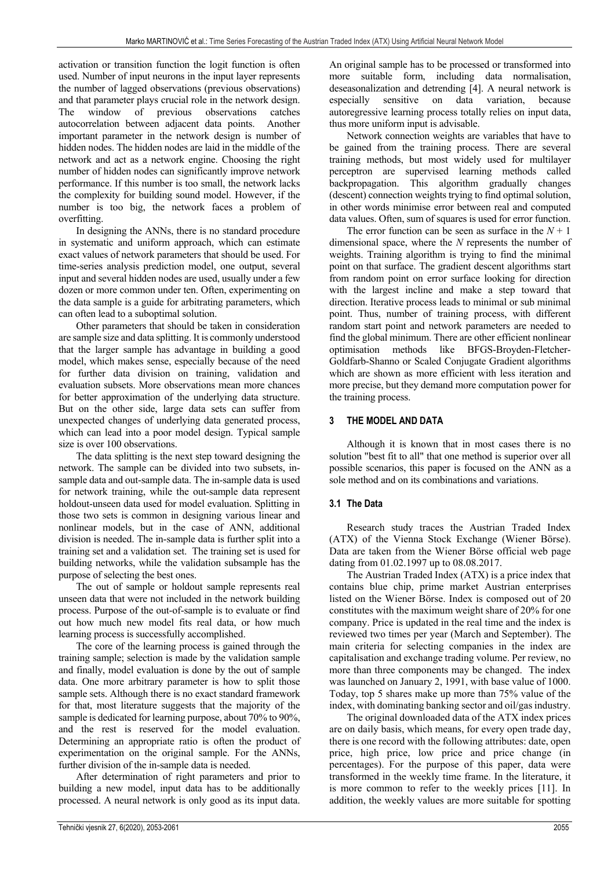activation or transition function the logit function is often used. Number of input neurons in the input layer represents the number of lagged observations (previous observations) and that parameter plays crucial role in the network design. The window of previous observations catches autocorrelation between adjacent data points. Another important parameter in the network design is number of hidden nodes. The hidden nodes are laid in the middle of the network and act as a network engine. Choosing the right number of hidden nodes can significantly improve network performance. If this number is too small, the network lacks the complexity for building sound model. However, if the number is too big, the network faces a problem of overfitting.

In designing the ANNs, there is no standard procedure in systematic and uniform approach, which can estimate exact values of network parameters that should be used. For time-series analysis prediction model, one output, several input and several hidden nodes are used, usually under a few dozen or more common under ten. Often, experimenting on the data sample is a guide for arbitrating parameters, which can often lead to a suboptimal solution.

Other parameters that should be taken in consideration are sample size and data splitting. It is commonly understood that the larger sample has advantage in building a good model, which makes sense, especially because of the need for further data division on training, validation and evaluation subsets. More observations mean more chances for better approximation of the underlying data structure. But on the other side, large data sets can suffer from unexpected changes of underlying data generated process, which can lead into a poor model design. Typical sample size is over 100 observations.

The data splitting is the next step toward designing the network. The sample can be divided into two subsets, insample data and out-sample data. The in-sample data is used for network training, while the out-sample data represent holdout-unseen data used for model evaluation. Splitting in those two sets is common in designing various linear and nonlinear models, but in the case of ANN, additional division is needed. The in-sample data is further split into a training set and a validation set. The training set is used for building networks, while the validation subsample has the purpose of selecting the best ones.

The out of sample or holdout sample represents real unseen data that were not included in the network building process. Purpose of the out-of-sample is to evaluate or find out how much new model fits real data, or how much learning process is successfully accomplished.

The core of the learning process is gained through the training sample; selection is made by the validation sample and finally, model evaluation is done by the out of sample data. One more arbitrary parameter is how to split those sample sets. Although there is no exact standard framework for that, most literature suggests that the majority of the sample is dedicated for learning purpose, about 70% to 90%, and the rest is reserved for the model evaluation. Determining an appropriate ratio is often the product of experimentation on the original sample. For the ANNs, further division of the in-sample data is needed.

After determination of right parameters and prior to building a new model, input data has to be additionally processed. A neural network is only good as its input data. An original sample has to be processed or transformed into more suitable form, including data normalisation, deseasonalization and detrending [4]. A neural network is especially sensitive on data variation, because autoregressive learning process totally relies on input data, thus more uniform input is advisable.

Network connection weights are variables that have to be gained from the training process. There are several training methods, but most widely used for multilayer perceptron are supervised learning methods called backpropagation. This algorithm gradually changes (descent) connection weights trying to find optimal solution, in other words minimise error between real and computed data values. Often, sum of squares is used for error function.

The error function can be seen as surface in the  $N + 1$ dimensional space, where the *N* represents the number of weights. Training algorithm is trying to find the minimal point on that surface. The gradient descent algorithms start from random point on error surface looking for direction with the largest incline and make a step toward that direction. Iterative process leads to minimal or sub minimal point. Thus, number of training process, with different random start point and network parameters are needed to find the global minimum. There are other efficient nonlinear optimisation methods like BFGS-Broyden-Fletcher-Goldfarb-Shanno or Scaled Conjugate Gradient algorithms which are shown as more efficient with less iteration and more precise, but they demand more computation power for the training process.

# **3 THE MODEL AND DATA**

Although it is known that in most cases there is no solution "best fit to all" that one method is superior over all possible scenarios, this paper is focused on the ANN as a sole method and on its combinations and variations.

### **3.1 The Data**

Research study traces the Austrian Traded Index (ATX) of the Vienna Stock Exchange (Wiener Börse). Data are taken from the Wiener Börse official web page dating from 01.02.1997 up to 08.08.2017.

The Austrian Traded Index (ATX) is a price index that contains blue chip, prime market Austrian enterprises listed on the Wiener Börse. Index is composed out of 20 constitutes with the maximum weight share of 20% for one company. Price is updated in the real time and the index is reviewed two times per year (March and September). The main criteria for selecting companies in the index are capitalisation and exchange trading volume. Per review, no more than three components may be changed. The index was launched on January 2, 1991, with base value of 1000. Today, top 5 shares make up more than 75% value of the index, with dominating banking sector and oil/gas industry.

The original downloaded data of the ATX index prices are on daily basis, which means, for every open trade day, there is one record with the following attributes: date, open price, high price, low price and price change (in percentages). For the purpose of this paper, data were transformed in the weekly time frame. In the literature, it is more common to refer to the weekly prices [11]. In addition, the weekly values are more suitable for spotting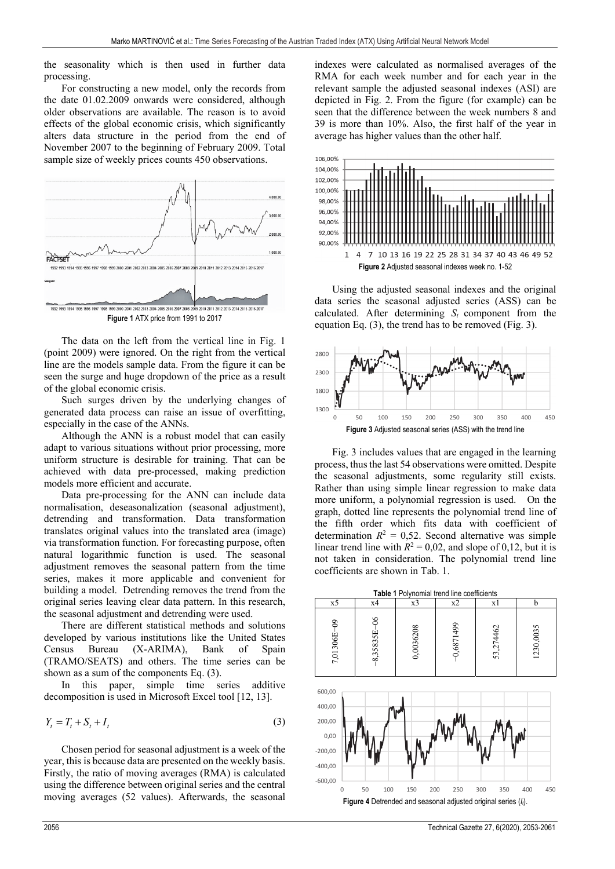the seasonality which is then used in further data processing.

For constructing a new model, only the records from the date 01.02.2009 onwards were considered, although older observations are available. The reason is to avoid effects of the global economic crisis, which significantly alters data structure in the period from the end of November 2007 to the beginning of February 2009. Total sample size of weekly prices counts 450 observations.



**Figure 1** ATX price from 1991 to 2017

The data on the left from the vertical line in Fig. 1 (point 2009) were ignored. On the right from the vertical line are the models sample data. From the figure it can be seen the surge and huge dropdown of the price as a result of the global economic crisis.

Such surges driven by the underlying changes of generated data process can raise an issue of overfitting, especially in the case of the ANNs.

Although the ANN is a robust model that can easily adapt to various situations without prior processing, more uniform structure is desirable for training. That can be achieved with data pre-processed, making prediction models more efficient and accurate.

Data pre-processing for the ANN can include data normalisation, deseasonalization (seasonal adjustment), detrending and transformation. Data transformation translates original values into the translated area (image) via transformation function. For forecasting purpose, often natural logarithmic function is used. The seasonal adjustment removes the seasonal pattern from the time series, makes it more applicable and convenient for building a model. Detrending removes the trend from the original series leaving clear data pattern. In this research, the seasonal adjustment and detrending were used.

There are different statistical methods and solutions developed by various institutions like the United States Census Bureau (X-ARIMA), Bank of Spain (TRAMO/SEATS) and others. The time series can be shown as a sum of the components Eq. (3).

In this paper, simple time series additive decomposition is used in Microsoft Excel tool [12, 13].

$$
Y_t = T_t + S_t + I_t \tag{3}
$$

Chosen period for seasonal adjustment is a week of the year, this is because data are presented on the weekly basis. Firstly, the ratio of moving averages (RMA) is calculated using the difference between original series and the central moving averages (52 values). Afterwards, the seasonal

indexes were calculated as normalised averages of the RMA for each week number and for each year in the relevant sample the adjusted seasonal indexes (ASI) are depicted in Fig. 2. From the figure (for example) can be seen that the difference between the week numbers 8 and 39 is more than 10%. Also, the first half of the year in average has higher values than the other half.



Using the adjusted seasonal indexes and the original data series the seasonal adjusted series (ASS) can be calculated. After determining  $S_t$  component from the equation Eq. (3), the trend has to be removed (Fig. 3).



Fig. 3 includes values that are engaged in the learning process, thus the last 54 observations were omitted. Despite the seasonal adjustments, some regularity still exists. Rather than using simple linear regression to make data more uniform, a polynomial regression is used. On the graph, dotted line represents the polynomial trend line of the fifth order which fits data with coefficient of determination  $R^2 = 0.52$ . Second alternative was simple linear trend line with  $R^2 = 0.02$ , and slope of 0,12, but it is not taken in consideration. The polynomial trend line coefficients are shown in Tab. 1.

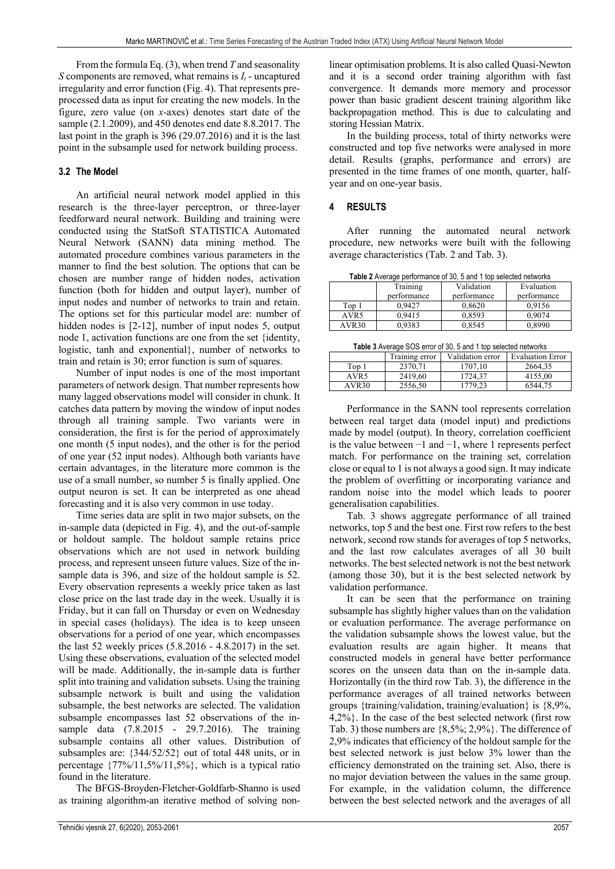From the formula Eq. (3), when trend *T* and seasonality *S* components are removed, what remains is  $I_t$  - uncaptured irregularity and error function (Fig. 4). That represents preprocessed data as input for creating the new models. In the figure, zero value (on *x*-axes) denotes start date of the sample (2.1.2009), and 450 denotes end date 8.8.2017. The last point in the graph is 396 (29.07.2016) and it is the last point in the subsample used for network building process.

# **3.2 The Model**

An artificial neural network model applied in this research is the three-layer perceptron, or three-layer feedforward neural network. Building and training were conducted using the StatSoft STATISTICA Automated Neural Network (SANN) data mining method. The automated procedure combines various parameters in the manner to find the best solution. The options that can be chosen are number range of hidden nodes, activation function (both for hidden and output layer), number of input nodes and number of networks to train and retain. The options set for this particular model are: number of hidden nodes is [2-12], number of input nodes 5, output node 1, activation functions are one from the set {identity, logistic, tanh and exponential}, number of networks to train and retain is 30; error function is sum of squares.

Number of input nodes is one of the most important parameters of network design. That number represents how many lagged observations model will consider in chunk. It catches data pattern by moving the window of input nodes through all training sample. Two variants were in consideration, the first is for the period of approximately one month (5 input nodes), and the other is for the period of one year (52 input nodes). Although both variants have certain advantages, in the literature more common is the use of a small number, so number 5 is finally applied. One output neuron is set. It can be interpreted as one ahead forecasting and it is also very common in use today.

Time series data are split in two major subsets, on the in-sample data (depicted in Fig. 4), and the out-of-sample or holdout sample. The holdout sample retains price observations which are not used in network building process, and represent unseen future values. Size of the insample data is 396, and size of the holdout sample is 52. Every observation represents a weekly price taken as last close price on the last trade day in the week. Usually it is Friday, but it can fall on Thursday or even on Wednesday in special cases (holidays). The idea is to keep unseen observations for a period of one year, which encompasses the last 52 weekly prices (5.8.2016 - 4.8.2017) in the set. Using these observations, evaluation of the selected model will be made. Additionally, the in-sample data is further split into training and validation subsets. Using the training subsample network is built and using the validation subsample, the best networks are selected. The validation subsample encompasses last 52 observations of the insample data (7.8.2015 - 29.7.2016). The training subsample contains all other values. Distribution of subsamples are: {344/52/52} out of total 448 units, or in percentage  $\{77\%/11,5\%/11,5\%}\$ , which is a typical ratio found in the literature.

The BFGS-Broyden-Fletcher-Goldfarb-Shanno is used as training algorithm-an iterative method of solving nonlinear optimisation problems. It is also called Quasi-Newton and it is a second order training algorithm with fast convergence. It demands more memory and processor power than basic gradient descent training algorithm like backpropagation method. This is due to calculating and storing Hessian Matrix.

In the building process, total of thirty networks were constructed and top five networks were analysed in more detail. Results (graphs, performance and errors) are presented in the time frames of one month, quarter, halfyear and on one-year basis.

## **4 RESULTS**

After running the automated neural network procedure, new networks were built with the following average characteristics (Tab. 2 and Tab. 3).

| Table 2 Average performance of 30, 5 and 1 top selected networks |             |             |             |  |  |  |
|------------------------------------------------------------------|-------------|-------------|-------------|--|--|--|
|                                                                  | Training    | Validation  | Evaluation  |  |  |  |
|                                                                  | performance | performance | performance |  |  |  |
| Top 1                                                            | 0.9427      | 0.8620      | 0.9156      |  |  |  |
| AVR5                                                             | 0.9415      | 0.8593      | 0.9074      |  |  |  |
| AVR <sub>30</sub>                                                | 0.9383      | 0,8545      | 0,8990      |  |  |  |

| Table 3 Average SOS error of 30, 5 and 1 top selected networks |         |         |         |  |  |  |
|----------------------------------------------------------------|---------|---------|---------|--|--|--|
| Validation error<br><b>Evaluation Error</b><br>Training error  |         |         |         |  |  |  |
| Top 1                                                          | 2370.71 | 1707.10 | 2664,35 |  |  |  |
| AVR5                                                           | 2419.60 | 1724.37 | 4155,00 |  |  |  |
| AVR30                                                          | 2556,50 | 1779.23 | 6544,75 |  |  |  |

Performance in the SANN tool represents correlation between real target data (model input) and predictions made by model (output). In theory, correlation coefficient is the value between −1 and −1, where 1 represents perfect match. For performance on the training set, correlation close or equal to 1 is not always a good sign. It may indicate the problem of overfitting or incorporating variance and random noise into the model which leads to poorer generalisation capabilities.

Tab. 3 shows aggregate performance of all trained networks, top 5 and the best one. First row refers to the best network, second row stands for averages of top 5 networks, and the last row calculates averages of all 30 built networks. The best selected network is not the best network (among those 30), but it is the best selected network by validation performance.

It can be seen that the performance on training subsample has slightly higher values than on the validation or evaluation performance. The average performance on the validation subsample shows the lowest value, but the evaluation results are again higher. It means that constructed models in general have better performance scores on the unseen data than on the in-sample data. Horizontally (in the third row Tab. 3), the difference in the performance averages of all trained networks between groups {training/validation, training/evaluation} is {8,9%, 4,2%}. In the case of the best selected network (first row Tab. 3) those numbers are {8,5%; 2,9%}. The difference of 2,9% indicates that efficiency of the holdout sample for the best selected network is just below 3% lower than the efficiency demonstrated on the training set. Also, there is no major deviation between the values in the same group. For example, in the validation column, the difference between the best selected network and the averages of all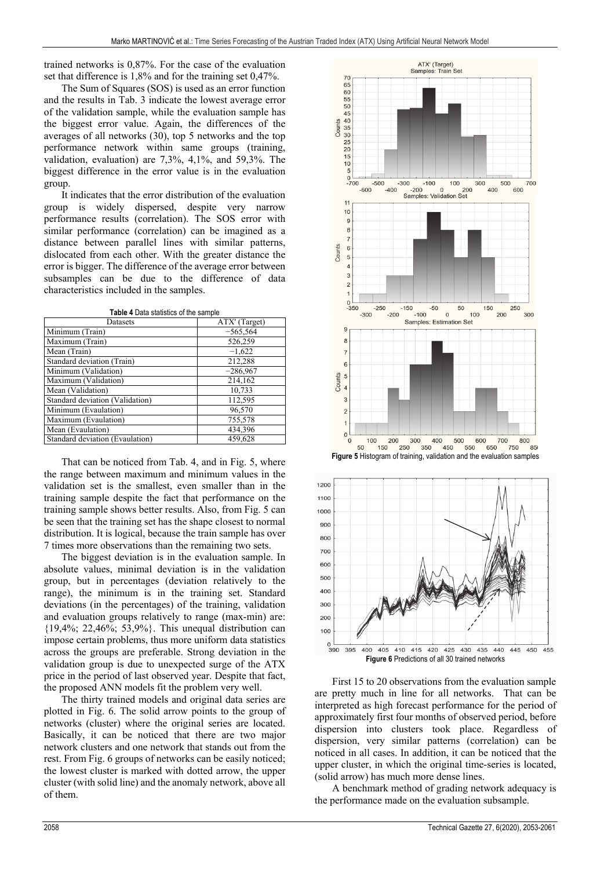trained networks is 0,87%. For the case of the evaluation set that difference is 1,8% and for the training set 0,47%.

The Sum of Squares (SOS) is used as an error function and the results in Tab. 3 indicate the lowest average error of the validation sample, while the evaluation sample has the biggest error value. Again, the differences of the averages of all networks (30), top 5 networks and the top performance network within same groups (training, validation, evaluation) are 7,3%, 4,1%, and 59,3%. The biggest difference in the error value is in the evaluation group.

It indicates that the error distribution of the evaluation group is widely dispersed, despite very narrow performance results (correlation). The SOS error with similar performance (correlation) can be imagined as a distance between parallel lines with similar patterns, dislocated from each other. With the greater distance the error is bigger. The difference of the average error between subsamples can be due to the difference of data characteristics included in the samples.

|  | Table 4 Data statistics of the sample |  |
|--|---------------------------------------|--|
|  |                                       |  |

| Datasets                        | ATX' (Target) |
|---------------------------------|---------------|
| Minimum (Train)                 | $-565,564$    |
| Maximum (Train)                 | 526,259       |
| Mean (Train)                    | $-1,622$      |
| Standard deviation (Train)      | 212,288       |
| Minimum (Validation)            | $-286,967$    |
| Maximum (Validation)            | 214,162       |
| Mean (Validation)               | 10,733        |
| Standard deviation (Validation) | 112,595       |
| Minimum (Evaulation)            | 96,570        |
| Maximum (Evaulation)            | 755,578       |
| Mean (Evaulation)               | 434,396       |
| Standard deviation (Evaulation) | 459.628       |

That can be noticed from Tab. 4, and in Fig. 5, where the range between maximum and minimum values in the validation set is the smallest, even smaller than in the training sample despite the fact that performance on the training sample shows better results. Also, from Fig. 5 can be seen that the training set has the shape closest to normal distribution. It is logical, because the train sample has over 7 times more observations than the remaining two sets.

The biggest deviation is in the evaluation sample. In absolute values, minimal deviation is in the validation group, but in percentages (deviation relatively to the range), the minimum is in the training set. Standard deviations (in the percentages) of the training, validation and evaluation groups relatively to range (max-min) are: {19,4%; 22,46%; 53,9%}. This unequal distribution can impose certain problems, thus more uniform data statistics across the groups are preferable. Strong deviation in the validation group is due to unexpected surge of the ATX price in the period of last observed year. Despite that fact, the proposed ANN models fit the problem very well.

The thirty trained models and original data series are plotted in Fig. 6. The solid arrow points to the group of networks (cluster) where the original series are located. Basically, it can be noticed that there are two major network clusters and one network that stands out from the rest. From Fig. 6 groups of networks can be easily noticed; the lowest cluster is marked with dotted arrow, the upper cluster (with solid line) and the anomaly network, above all of them.



395 405 410 415 420 425 430 435 440 445 450 455 390 400 **Figure 6** Predictions of all 30 trained networks

First 15 to 20 observations from the evaluation sample are pretty much in line for all networks. That can be interpreted as high forecast performance for the period of approximately first four months of observed period, before dispersion into clusters took place. Regardless of dispersion, very similar patterns (correlation) can be noticed in all cases. In addition, it can be noticed that the upper cluster, in which the original time-series is located, (solid arrow) has much more dense lines.

A benchmark method of grading network adequacy is the performance made on the evaluation subsample.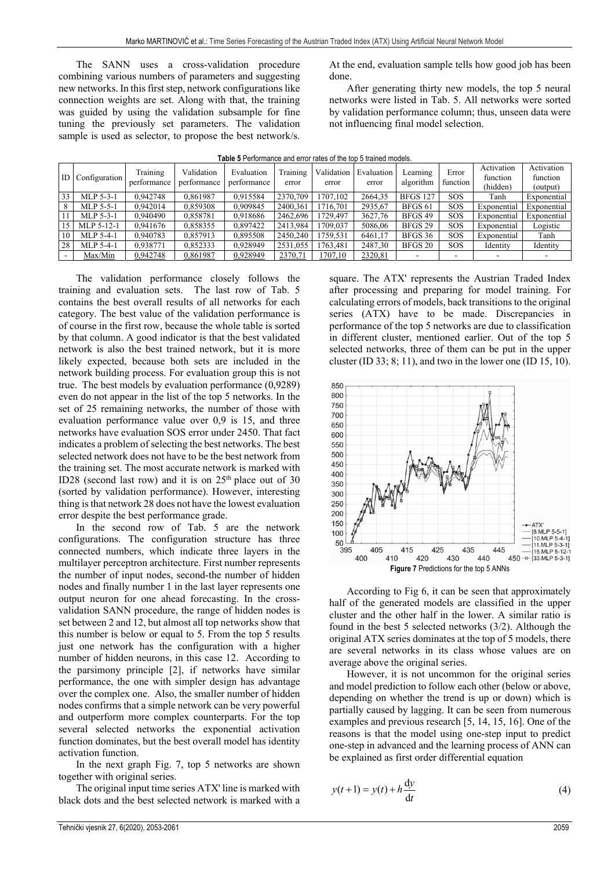The SANN uses a cross-validation procedure combining various numbers of parameters and suggesting new networks. In this first step, network configurations like connection weights are set. Along with that, the training was guided by using the validation subsample for fine tuning the previously set parameters. The validation sample is used as selector, to propose the best network/s. At the end, evaluation sample tells how good job has been done.

After generating thirty new models, the top 5 neural networks were listed in Tab. 5. All networks were sorted by validation performance column; thus, unseen data were not influencing final model selection.

| ID. | Configuration | Training<br>performance | Validation<br>performance | Evaluation<br>performance | Training<br>error | Validation<br>error | Evaluation<br>error | Learning<br>algorithm | Error<br>function | Activation<br>function<br>(hidden) | Activation<br>function<br>(output) |
|-----|---------------|-------------------------|---------------------------|---------------------------|-------------------|---------------------|---------------------|-----------------------|-------------------|------------------------------------|------------------------------------|
| 33  | MLP 5-3-1     | 0.942748                | 0.861987                  | 0.915584                  | 2370,709          | 1707.102            | 2664.35             | <b>BFGS 127</b>       | SOS               | Tanh                               | Exponential                        |
| 8   | MLP 5-5-1     | 0.942014                | 0.859308                  | 0.909845                  | 2400.361          | 1716.701            | 2935.67             | BFGS <sub>61</sub>    | SOS               | Exponential                        | Exponential                        |
|     | MLP 5-3-1     | 0.940490                | 0.858781                  | 0,918686                  | 2462,696          | 1729.497            | 3627.76             | BFGS 49               | SOS               | Exponential                        | Exponential                        |
| 15  | MLP 5-12-1    | 0.941676                | 0.858355                  | 0.897422                  | 2413.984          | 1709.037            | 5086.06             | BFGS 29               | <b>SOS</b>        | Exponential                        | Logistic                           |
| 10  | MLP 5-4-1     | 0.940783                | 0,857913                  | 0,895508                  | 2450.240          | 1759.531            | 6461.17             | BFGS 36               | <b>SOS</b>        | Exponential                        | Tanh                               |
| 28  | MLP 5-4-1     | 0.938771                | 0,852333                  | 0,928949                  | 2531,055          | 1763.481            | 2487.30             | BFGS 20               | <b>SOS</b>        | Identity                           | Identity                           |
|     | Max/Min       | 0,942748                | 0,861987                  | 0,928949                  | 2370,71           | 1707,10             | 2320,81             |                       |                   |                                    |                                    |

**Table 5** Performance and error rates of the top 5 trained models.

The validation performance closely follows the training and evaluation sets. The last row of Tab. 5 contains the best overall results of all networks for each category. The best value of the validation performance is of course in the first row, because the whole table is sorted by that column. A good indicator is that the best validated network is also the best trained network, but it is more likely expected, because both sets are included in the network building process. For evaluation group this is not true. The best models by evaluation performance (0,9289) even do not appear in the list of the top 5 networks. In the set of 25 remaining networks, the number of those with evaluation performance value over 0,9 is 15, and three networks have evaluation SOS error under 2450. That fact indicates a problem of selecting the best networks. The best selected network does not have to be the best network from the training set. The most accurate network is marked with ID28 (second last row) and it is on  $25<sup>th</sup>$  place out of 30 (sorted by validation performance). However, interesting thing is that network 28 does not have the lowest evaluation error despite the best performance grade.

In the second row of Tab. 5 are the network configurations. The configuration structure has three connected numbers, which indicate three layers in the multilayer perceptron architecture. First number represents the number of input nodes, second-the number of hidden nodes and finally number 1 in the last layer represents one output neuron for one ahead forecasting. In the crossvalidation SANN procedure, the range of hidden nodes is set between 2 and 12, but almost all top networks show that this number is below or equal to 5. From the top 5 results just one network has the configuration with a higher number of hidden neurons, in this case 12. According to the parsimony principle [2], if networks have similar performance, the one with simpler design has advantage over the complex one. Also, the smaller number of hidden nodes confirms that a simple network can be very powerful and outperform more complex counterparts. For the top several selected networks the exponential activation function dominates, but the best overall model has identity activation function.

In the next graph Fig. 7, top 5 networks are shown together with original series.

The original input time series ATX' line is marked with black dots and the best selected network is marked with a square. The ATX' represents the Austrian Traded Index after processing and preparing for model training. For calculating errors of models, back transitions to the original series (ATX) have to be made. Discrepancies in performance of the top 5 networks are due to classification in different cluster, mentioned earlier. Out of the top 5 selected networks, three of them can be put in the upper cluster (ID 33;  $8$ ; 11), and two in the lower one (ID 15, 10).



According to Fig 6, it can be seen that approximately half of the generated models are classified in the upper cluster and the other half in the lower. A similar ratio is found in the best 5 selected networks (3/2). Although the original ATX series dominates at the top of 5 models, there are several networks in its class whose values are on average above the original series.

However, it is not uncommon for the original series and model prediction to follow each other (below or above, depending on whether the trend is up or down) which is partially caused by lagging. It can be seen from numerous examples and previous research [5, 14, 15, 16]. One of the reasons is that the model using one-step input to predict one-step in advanced and the learning process of ANN can be explained as first order differential equation

$$
y(t+1) = y(t) + h \frac{dy}{dt}
$$
 (4)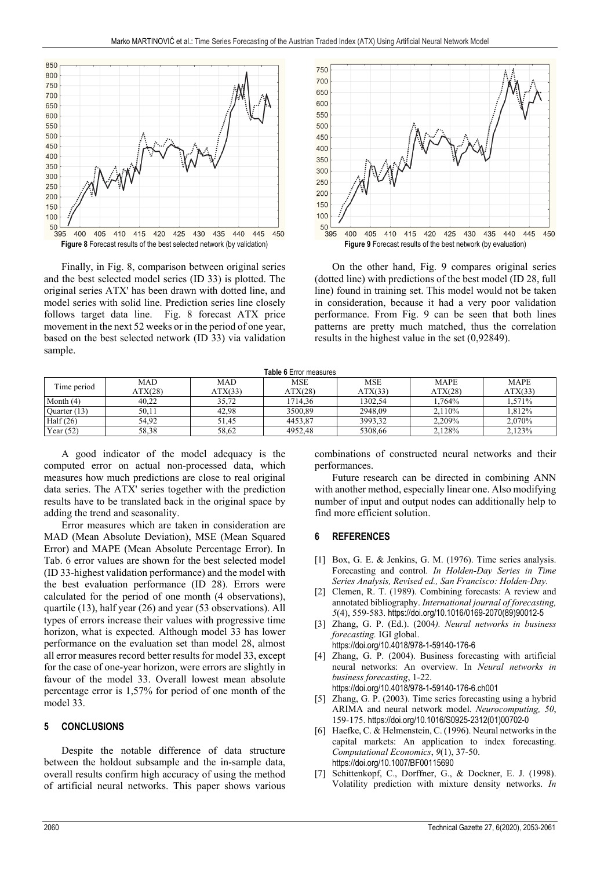

Finally, in Fig. 8, comparison between original series and the best selected model series (ID 33) is plotted. The original series ATX' has been drawn with dotted line, and model series with solid line. Prediction series line closely follows target data line. Fig. 8 forecast ATX price movement in the next 52 weeks or in the period of one year, based on the best selected network (ID 33) via validation sample.



On the other hand, Fig. 9 compares original series (dotted line) with predictions of the best model (ID 28, full line) found in training set. This model would not be taken in consideration, because it had a very poor validation performance. From Fig. 9 can be seen that both lines patterns are pretty much matched, thus the correlation results in the highest value in the set (0,92849).

| <b>Table 6</b> Error measures |  |
|-------------------------------|--|
|-------------------------------|--|

| Time period  | <b>MAD</b> | <b>MAD</b> | MSE     | <b>MSE</b> | <b>MAPE</b> | <b>MAPE</b> |
|--------------|------------|------------|---------|------------|-------------|-------------|
|              | ATX(28)    | ATX(33)    | ATX(28) | ATX(33)    | ATX(28)     | ATX(33)     |
| Month $(4)$  | 40.22      | 35.72      | 1714.36 | 1302.54    | 1.764%      | 1.571%      |
| Quarter (13) | 50.11      | 42.98      | 3500.89 | 2948.09    | 2,110%      | .812%       |
| Half $(26)$  | 54.92      | 51.45      | 4453.87 | 3993.32    | 2.209%      | 2,070%      |
| Year $(52)$  | 58,38      | 58.62      | 4952.48 | 5308.66    | 2.128%      | 2.123%      |

A good indicator of the model adequacy is the computed error on actual non-processed data, which measures how much predictions are close to real original data series. The ATX' series together with the prediction results have to be translated back in the original space by adding the trend and seasonality.

Error measures which are taken in consideration are MAD (Mean Absolute Deviation), MSE (Mean Squared Error) and MAPE (Mean Absolute Percentage Error). In Tab. 6 error values are shown for the best selected model (ID 33-highest validation performance) and the model with the best evaluation performance (ID 28). Errors were calculated for the period of one month (4 observations), quartile (13), half year (26) and year (53 observations). All types of errors increase their values with progressive time horizon, what is expected. Although model 33 has lower performance on the evaluation set than model 28, almost all error measures record better results for model 33, except for the case of one-year horizon, were errors are slightly in favour of the model 33. Overall lowest mean absolute percentage error is 1,57% for period of one month of the model 33.

### **5 CONCLUSIONS**

Despite the notable difference of data structure between the holdout subsample and the in-sample data, overall results confirm high accuracy of using the method of artificial neural networks. This paper shows various

combinations of constructed neural networks and their performances.

Future research can be directed in combining ANN with another method, especially linear one. Also modifying number of input and output nodes can additionally help to find more efficient solution.

### **6 REFERENCES**

- [1] Box, G. E. & Jenkins, G. M. (1976). Time series analysis. Forecasting and control. *In Holden-Day Series in Time Series Analysis, Revised ed., San Francisco: Holden-Day.*
- [2] Clemen, R. T. (1989). Combining forecasts: A review and annotated bibliography. *International journal of forecasting, 5*(4), 559-583. https://doi.org/10.1016/0169-2070(89)90012-5
- [3] Zhang, G. P. (Ed.). (2004*). Neural networks in business forecasting.* IGI global.
	- https://doi.org/10.4018/978-1-59140-176-6
- [4] Zhang, G. P. (2004). Business forecasting with artificial neural networks: An overview. In *Neural networks in business forecasting*, 1-22. https://doi.org/10.4018/978-1-59140-176-6.ch001
- [5] Zhang, G. P. (2003). Time series forecasting using a hybrid ARIMA and neural network model. *Neurocomputing, 50*,
- 159-175. https://doi.org/10.1016/S0925-2312(01)00702-0 [6] Haefke, C. & Helmenstein, C. (1996). Neural networks in the capital markets: An application to index forecasting.
- *Computational Economics*, *9*(1), 37-50. https://doi.org/10.1007/BF00115690 [7] Schittenkopf, C., Dorffner, G., & Dockner, E. J. (1998).
- Volatility prediction with mixture density networks. *In*